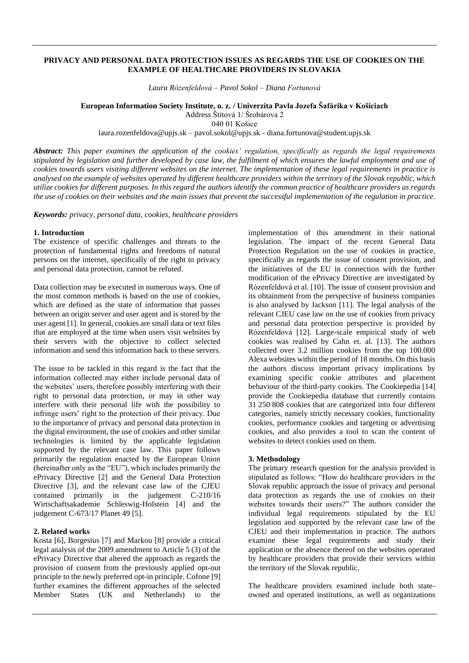#### **PRIVACY AND PERSONAL DATA PROTECTION ISSUES AS REGARDS THE USE OF COOKIES ON THE EXAMPLE OF HEALTHCARE PROVIDERS IN SLOVAKIA**

*Laura Rózenfeldová – Pavol Sokol – Diana Fortunová*

**European Information Society Institute, o. z. / Univerzita Pavla Jozefa Šafárika v Košiciach**

Address Štítová 1/ Šrobárova 2

040 01 Košice

laura.rozenfeldova@upjs.sk – [pavol.sokol@upjs.sk](mailto:pavol.sokol@upjs.sk) - diana.fortunova@student.upjs.sk

*Abstract: This paper examines the application of the cookies' regulation, specifically as regards the legal requirements stipulated by legislation and further developed by case law, the fulfilment of which ensures the lawful employment and use of cookies towards users visiting different websites on the internet. The implementation of these legal requirements in practice is analysed on the example of websites operated by different healthcare providers within the territory of the Slovak republic, which utilize cookies for different purposes. In this regard the authors identify the common practice of healthcare providers as regards the use of cookies on their websites and the main issues that prevent the successful implementation of the regulation in practice.*

*Keywords: privacy, personal data, cookies, healthcare providers*

#### **1. Introduction**

The existence of specific challenges and threats to the protection of fundamental rights and freedoms of natural persons on the internet, specifically of the right to privacy and personal data protection, cannot be refuted.

Data collection may be executed in numerous ways. One of the most common methods is based on the use of cookies, which are defined as the state of information that passes between an origin server and user agent and is stored by the user agent [1]. In general, cookies are small data or text files that are employed at the time when users visit websites by their servers with the objective to collect selected information and send this information back to these servers.

The issue to be tackled in this regard is the fact that the information collected may either include personal data of the websites' users, therefore possibly interfering with their right to personal data protection, or may in other way interfere with their personal life with the possibility to infringe users' right to the protection of their privacy. Due to the importance of privacy and personal data protection in the digital environment, the use of cookies and other similar technologies is limited by the applicable legislation supported by the relevant case law. This paper follows primarily the regulation enacted by the European Union (hereinafter only as the "EU"), which includes primarily the ePrivacy Directive [2] and the General Data Protection Directive [3], and the relevant case law of the CJEU contained primarily in the judgement C-210/16 Wirtschaftsakademie Schleswig-Holstein [4] and the judgement C-673/17 Planet 49 [5].

## **2. Related works**

Kosta [6], Borgesius [7] and Markou [8] provide a critical legal analysis of the 2009 amendment to Article 5 (3) of the ePrivacy Directive that altered the approach as regards the provision of consent from the previously applied opt-out principle to the newly preferred opt-in principle. Cofone [9] further examines the different approaches of the selected Member States (UK and Netherlands) to the

implementation of this amendment in their national legislation. The impact of the recent General Data Protection Regulation on the use of cookies in practice, specifically as regards the issue of consent provision, and the initiatives of the EU in connection with the further modification of the ePrivacy Directive are investigated by Rózenfeldová et al. [10]. The issue of consent provision and its obtainment from the perspective of business companies is also analysed by Jackson [11]. The legal analysis of the relevant CJEU case law on the use of cookies from privacy and personal data protection perspective is provided by Rózenfeldová [12]. Large-scale empirical study of web cookies was realised by Cahn et. al. [13]. The authors collected over 3.2 million cookies from the top 100.000 Alexa websites within the period of 18 months. On this basis the authors discuss important privacy implications by examining specific cookie attributes and placement behaviour of the third-party cookies. The Cookiepedia [14] provide the Cookiepedia database that currently contains 31 250 808 cookies that are categorized into four different categories, namely strictly necessary cookies, functionality cookies, performance cookies and targeting or advertising cookies, and also provides a tool to scan the content of websites to detect cookies used on them.

## **3. Methodology**

The primary research question for the analysis provided is stipulated as follows: "How do healthcare providers in the Slovak republic approach the issue of privacy and personal data protection as regards the use of cookies on their websites towards their users?" The authors consider the individual legal requirements stipulated by the EU legislation and supported by the relevant case law of the CJEU and their implementation in practice. The authors examine these legal requirements and study their application or the absence thereof on the websites operated by healthcare providers that provide their services within the territory of the Slovak republic.

The healthcare providers examined include both stateowned and operated institutions, as well as organizations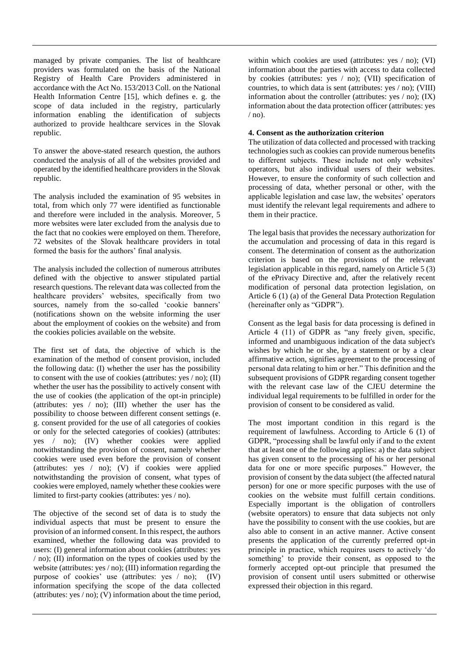managed by private companies. The list of healthcare providers was formulated on the basis of the National Registry of Health Care Providers administered in accordance with the Act No. 153/2013 Coll. on the National Health Information Centre [15], which defines e. g. the scope of data included in the registry, particularly information enabling the identification of subjects authorized to provide healthcare services in the Slovak republic.

To answer the above-stated research question, the authors conducted the analysis of all of the websites provided and operated by the identified healthcare providers in the Slovak republic.

The analysis included the examination of 95 websites in total, from which only 77 were identified as functionable and therefore were included in the analysis. Moreover, 5 more websites were later excluded from the analysis due to the fact that no cookies were employed on them. Therefore, 72 websites of the Slovak healthcare providers in total formed the basis for the authors' final analysis.

The analysis included the collection of numerous attributes defined with the objective to answer stipulated partial research questions. The relevant data was collected from the healthcare providers' websites, specifically from two sources, namely from the so-called 'cookie banners' (notifications shown on the website informing the user about the employment of cookies on the website) and from the cookies policies available on the website.

The first set of data, the objective of which is the examination of the method of consent provision, included the following data: (I) whether the user has the possibility to consent with the use of cookies (attributes: yes / no); (II) whether the user has the possibility to actively consent with the use of cookies (the application of the opt-in principle) (attributes: yes / no); (III) whether the user has the possibility to choose between different consent settings (e. g. consent provided for the use of all categories of cookies or only for the selected categories of cookies) (attributes: yes / no); (IV) whether cookies were applied notwithstanding the provision of consent, namely whether cookies were used even before the provision of consent (attributes: yes / no); (V) if cookies were applied notwithstanding the provision of consent, what types of cookies were employed, namely whether these cookies were limited to first-party cookies (attributes: yes / no).

The objective of the second set of data is to study the individual aspects that must be present to ensure the provision of an informed consent. In this respect, the authors examined, whether the following data was provided to users: (I) general information about cookies (attributes: yes / no); (II) information on the types of cookies used by the website (attributes: yes / no); (III) information regarding the purpose of cookies' use (attributes: yes / no); (IV) information specifying the scope of the data collected (attributes: yes / no); (V) information about the time period,

within which cookies are used (attributes: yes / no); (VI) information about the parties with access to data collected by cookies (attributes: yes / no); (VII) specification of countries, to which data is sent (attributes: yes / no); (VIII) information about the controller (attributes: yes / no); (IX) information about the data protection officer (attributes: yes  $/$  no).

# **4. Consent as the authorization criterion**

The utilization of data collected and processed with tracking technologies such as cookies can provide numerous benefits to different subjects. These include not only websites' operators, but also individual users of their websites. However, to ensure the conformity of such collection and processing of data, whether personal or other, with the applicable legislation and case law, the websites' operators must identify the relevant legal requirements and adhere to them in their practice.

The legal basis that provides the necessary authorization for the accumulation and processing of data in this regard is consent. The determination of consent as the authorization criterion is based on the provisions of the relevant legislation applicable in this regard, namely on Article 5 (3) of the ePrivacy Directive and, after the relatively recent modification of personal data protection legislation, on Article 6 (1) (a) of the General Data Protection Regulation (hereinafter only as "GDPR").

Consent as the legal basis for data processing is defined in Article 4 (11) of GDPR as "any freely given, specific, informed and unambiguous indication of the data subject's wishes by which he or she, by a statement or by a clear affirmative action, signifies agreement to the processing of personal data relating to him or her." This definition and the subsequent provisions of GDPR regarding consent together with the relevant case law of the CJEU determine the individual legal requirements to be fulfilled in order for the provision of consent to be considered as valid.

The most important condition in this regard is the requirement of lawfulness. According to Article 6 (1) of GDPR, "processing shall be lawful only if and to the extent that at least one of the following applies: a) the data subject has given consent to the processing of his or her personal data for one or more specific purposes." However, the provision of consent by the data subject (the affected natural person) for one or more specific purposes with the use of cookies on the website must fulfill certain conditions. Especially important is the obligation of controllers (website operators) to ensure that data subjects not only have the possibility to consent with the use cookies, but are also able to consent in an active manner. Active consent presents the application of the currently preferred opt-in principle in practice, which requires users to actively 'do something' to provide their consent, as opposed to the formerly accepted opt-out principle that presumed the provision of consent until users submitted or otherwise expressed their objection in this regard.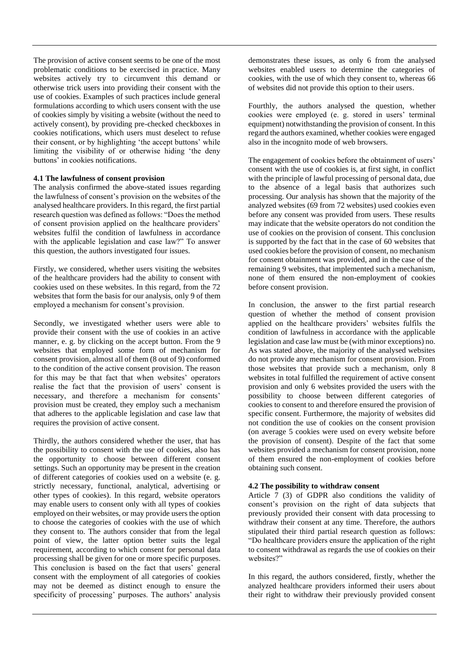The provision of active consent seems to be one of the most problematic conditions to be exercised in practice. Many websites actively try to circumvent this demand or otherwise trick users into providing their consent with the use of cookies. Examples of such practices include general formulations according to which users consent with the use of cookies simply by visiting a website (without the need to actively consent), by providing pre-checked checkboxes in cookies notifications, which users must deselect to refuse their consent, or by highlighting 'the accept buttons' while limiting the visibility of or otherwise hiding 'the deny buttons' in cookies notifications.

## **4.1 The lawfulness of consent provision**

The analysis confirmed the above-stated issues regarding the lawfulness of consent's provision on the websites of the analysed healthcare providers. In this regard, the first partial research question was defined as follows: "Does the method of consent provision applied on the healthcare providers' websites fulfil the condition of lawfulness in accordance with the applicable legislation and case law?" To answer this question, the authors investigated four issues.

Firstly, we considered, whether users visiting the websites of the healthcare providers had the ability to consent with cookies used on these websites. In this regard, from the 72 websites that form the basis for our analysis, only 9 of them employed a mechanism for consent's provision.

Secondly, we investigated whether users were able to provide their consent with the use of cookies in an active manner, e. g. by clicking on the accept button. From the 9 websites that employed some form of mechanism for consent provision, almost all of them (8 out of 9) conformed to the condition of the active consent provision. The reason for this may be that fact that when websites' operators realise the fact that the provision of users' consent is necessary, and therefore a mechanism for consents' provision must be created, they employ such a mechanism that adheres to the applicable legislation and case law that requires the provision of active consent.

Thirdly, the authors considered whether the user, that has the possibility to consent with the use of cookies, also has the opportunity to choose between different consent settings. Such an opportunity may be present in the creation of different categories of cookies used on a website (e. g. strictly necessary, functional, analytical, advertising or other types of cookies). In this regard, website operators may enable users to consent only with all types of cookies employed on their websites, or may provide users the option to choose the categories of cookies with the use of which they consent to. The authors consider that from the legal point of view, the latter option better suits the legal requirement, according to which consent for personal data processing shall be given for one or more specific purposes. This conclusion is based on the fact that users' general consent with the employment of all categories of cookies may not be deemed as distinct enough to ensure the specificity of processing' purposes. The authors' analysis demonstrates these issues, as only 6 from the analysed websites enabled users to determine the categories of cookies, with the use of which they consent to, whereas 66 of websites did not provide this option to their users.

Fourthly, the authors analysed the question, whether cookies were employed (e. g. stored in users' terminal equipment) notwithstanding the provision of consent. In this regard the authors examined, whether cookies were engaged also in the incognito mode of web browsers.

The engagement of cookies before the obtainment of users' consent with the use of cookies is, at first sight, in conflict with the principle of lawful processing of personal data, due to the absence of a legal basis that authorizes such processing. Our analysis has shown that the majority of the analyzed websites (69 from 72 websites) used cookies even before any consent was provided from users. These results may indicate that the website operators do not condition the use of cookies on the provision of consent. This conclusion is supported by the fact that in the case of 60 websites that used cookies before the provision of consent, no mechanism for consent obtainment was provided, and in the case of the remaining 9 websites, that implemented such a mechanism, none of them ensured the non-employment of cookies before consent provision.

In conclusion, the answer to the first partial research question of whether the method of consent provision applied on the healthcare providers' websites fulfils the condition of lawfulness in accordance with the applicable legislation and case law must be (with minor exceptions) no. As was stated above, the majority of the analysed websites do not provide any mechanism for consent provision. From those websites that provide such a mechanism, only 8 websites in total fulfilled the requirement of active consent provision and only 6 websites provided the users with the possibility to choose between different categories of cookies to consent to and therefore ensured the provision of specific consent. Furthermore, the majority of websites did not condition the use of cookies on the consent provision (on average 5 cookies were used on every website before the provision of consent). Despite of the fact that some websites provided a mechanism for consent provision, none of them ensured the non-employment of cookies before obtaining such consent.

#### **4.2 The possibility to withdraw consent**

Article 7 (3) of GDPR also conditions the validity of consent's provision on the right of data subjects that previously provided their consent with data processing to withdraw their consent at any time. Therefore, the authors stipulated their third partial research question as follows: "Do healthcare providers ensure the application of the right to consent withdrawal as regards the use of cookies on their websites?"

In this regard, the authors considered, firstly, whether the analyzed healthcare providers informed their users about their right to withdraw their previously provided consent